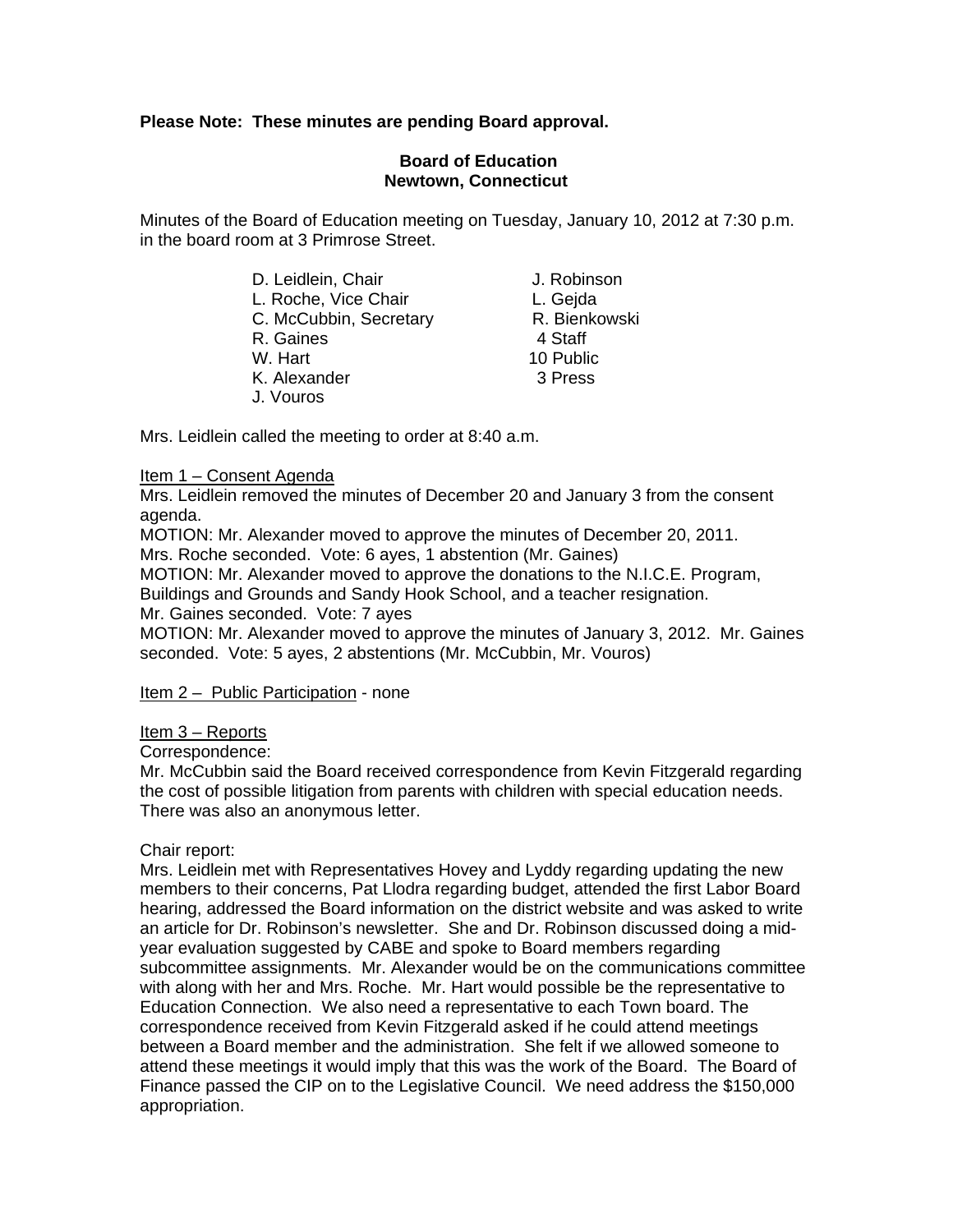# **Please Note: These minutes are pending Board approval.**

## **Board of Education Newtown, Connecticut**

Minutes of the Board of Education meeting on Tuesday, January 10, 2012 at 7:30 p.m. in the board room at 3 Primrose Street.

| J. Robinson   |
|---------------|
| L. Gejda      |
| R. Bienkowski |
| 4 Staff       |
| 10 Public     |
| 3 Press       |
|               |
|               |

Mrs. Leidlein called the meeting to order at 8:40 a.m.

### Item 1 – Consent Agenda

Mrs. Leidlein removed the minutes of December 20 and January 3 from the consent agenda.

MOTION: Mr. Alexander moved to approve the minutes of December 20, 2011. Mrs. Roche seconded. Vote: 6 ayes, 1 abstention (Mr. Gaines)

MOTION: Mr. Alexander moved to approve the donations to the N.I.C.E. Program,

Buildings and Grounds and Sandy Hook School, and a teacher resignation.

Mr. Gaines seconded. Vote: 7 ayes

MOTION: Mr. Alexander moved to approve the minutes of January 3, 2012. Mr. Gaines seconded. Vote: 5 ayes, 2 abstentions (Mr. McCubbin, Mr. Vouros)

Item 2 – Public Participation - none

### Item 3 – Reports

Correspondence:

Mr. McCubbin said the Board received correspondence from Kevin Fitzgerald regarding the cost of possible litigation from parents with children with special education needs. There was also an anonymous letter.

### Chair report:

Mrs. Leidlein met with Representatives Hovey and Lyddy regarding updating the new members to their concerns, Pat Llodra regarding budget, attended the first Labor Board hearing, addressed the Board information on the district website and was asked to write an article for Dr. Robinson's newsletter. She and Dr. Robinson discussed doing a midyear evaluation suggested by CABE and spoke to Board members regarding subcommittee assignments. Mr. Alexander would be on the communications committee with along with her and Mrs. Roche. Mr. Hart would possible be the representative to Education Connection. We also need a representative to each Town board. The correspondence received from Kevin Fitzgerald asked if he could attend meetings between a Board member and the administration. She felt if we allowed someone to attend these meetings it would imply that this was the work of the Board. The Board of Finance passed the CIP on to the Legislative Council. We need address the \$150,000 appropriation.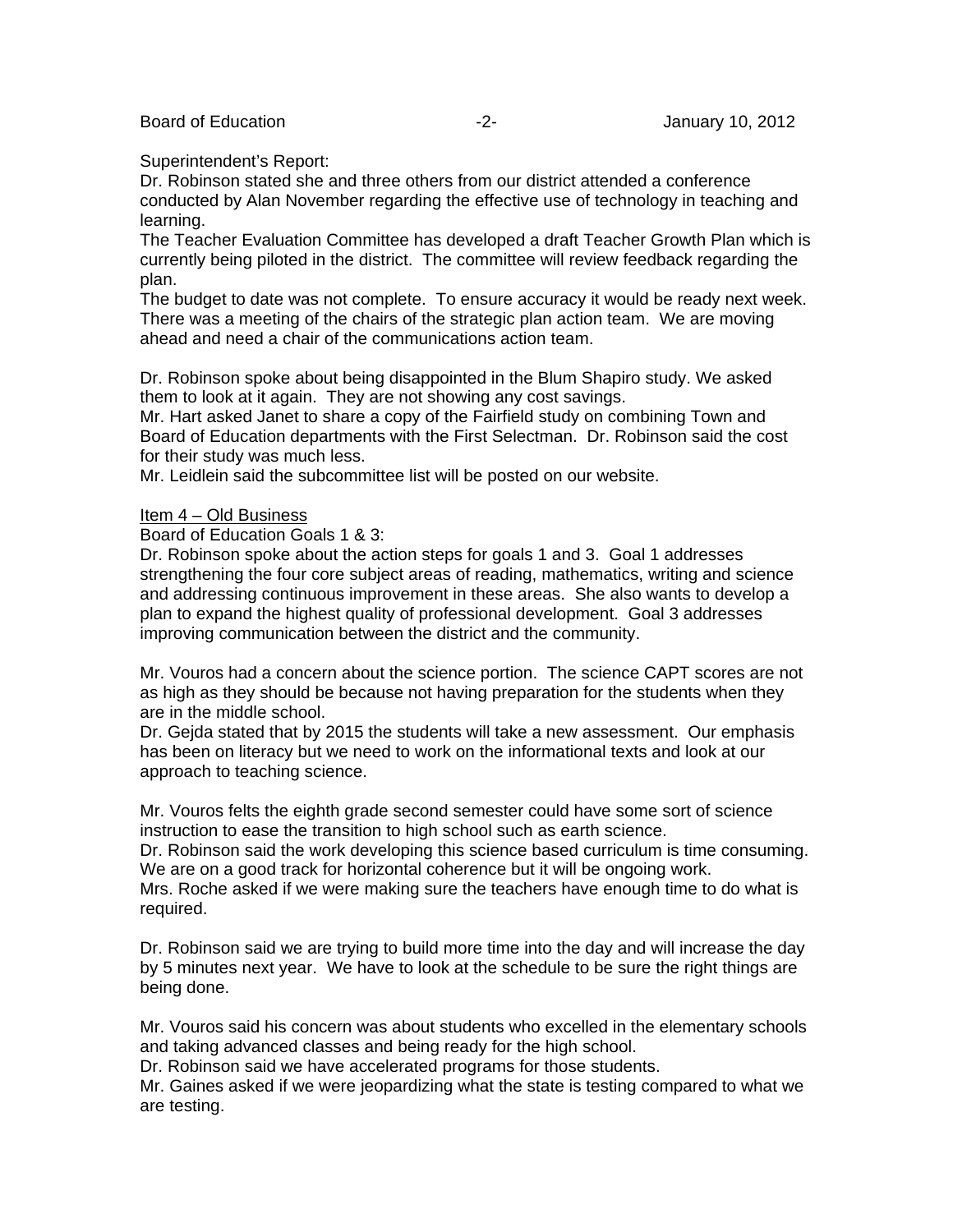#### Superintendent's Report:

Dr. Robinson stated she and three others from our district attended a conference conducted by Alan November regarding the effective use of technology in teaching and learning.

The Teacher Evaluation Committee has developed a draft Teacher Growth Plan which is currently being piloted in the district. The committee will review feedback regarding the plan.

The budget to date was not complete. To ensure accuracy it would be ready next week. There was a meeting of the chairs of the strategic plan action team. We are moving ahead and need a chair of the communications action team.

Dr. Robinson spoke about being disappointed in the Blum Shapiro study. We asked them to look at it again. They are not showing any cost savings.

Mr. Hart asked Janet to share a copy of the Fairfield study on combining Town and Board of Education departments with the First Selectman. Dr. Robinson said the cost for their study was much less.

Mr. Leidlein said the subcommittee list will be posted on our website.

#### Item 4 – Old Business

Board of Education Goals 1 & 3:

Dr. Robinson spoke about the action steps for goals 1 and 3. Goal 1 addresses strengthening the four core subject areas of reading, mathematics, writing and science and addressing continuous improvement in these areas. She also wants to develop a plan to expand the highest quality of professional development. Goal 3 addresses improving communication between the district and the community.

Mr. Vouros had a concern about the science portion. The science CAPT scores are not as high as they should be because not having preparation for the students when they are in the middle school.

Dr. Gejda stated that by 2015 the students will take a new assessment. Our emphasis has been on literacy but we need to work on the informational texts and look at our approach to teaching science.

Mr. Vouros felts the eighth grade second semester could have some sort of science instruction to ease the transition to high school such as earth science.

Dr. Robinson said the work developing this science based curriculum is time consuming. We are on a good track for horizontal coherence but it will be ongoing work. Mrs. Roche asked if we were making sure the teachers have enough time to do what is required.

Dr. Robinson said we are trying to build more time into the day and will increase the day by 5 minutes next year. We have to look at the schedule to be sure the right things are being done.

Mr. Vouros said his concern was about students who excelled in the elementary schools and taking advanced classes and being ready for the high school.

Dr. Robinson said we have accelerated programs for those students.

Mr. Gaines asked if we were jeopardizing what the state is testing compared to what we are testing.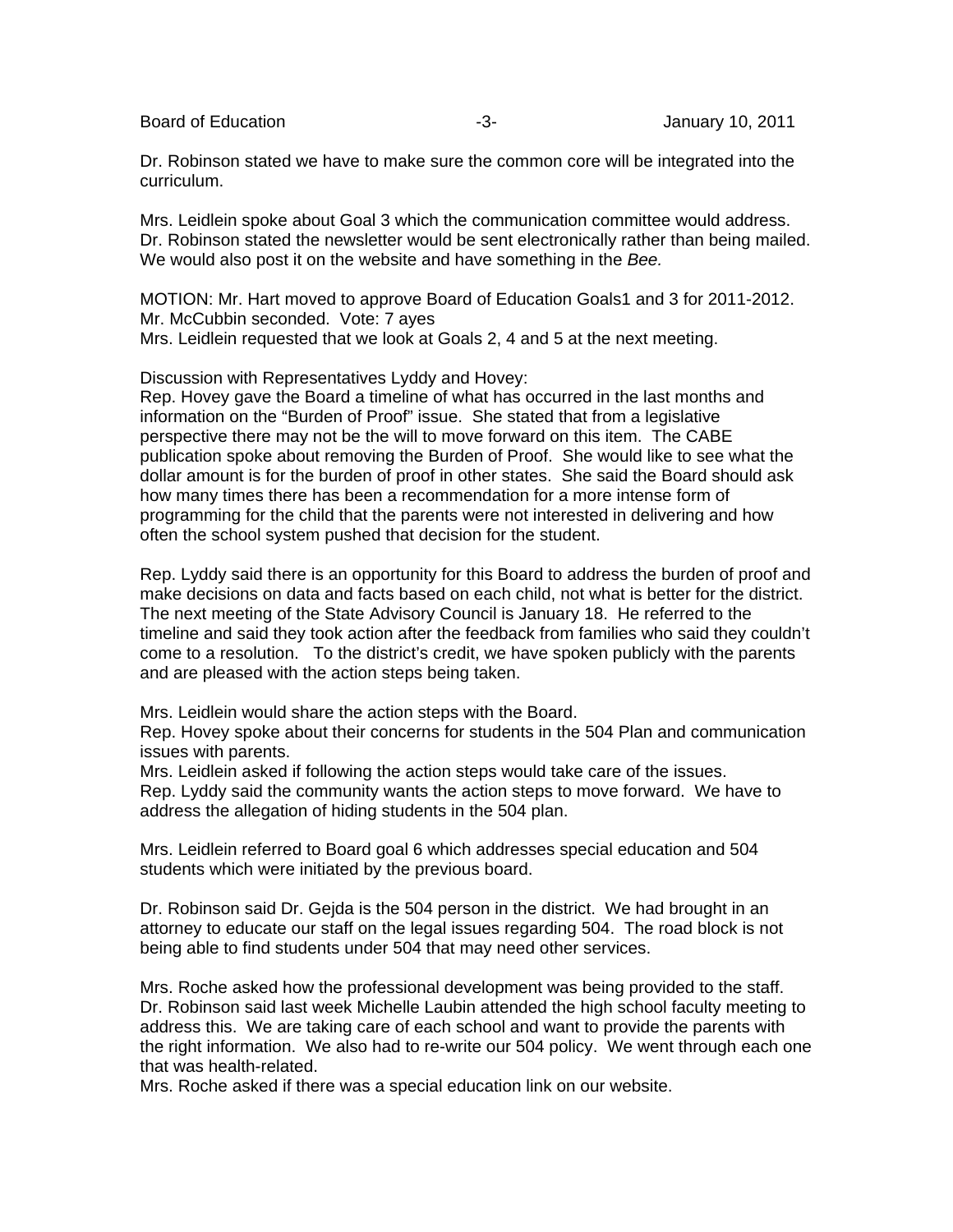Board of Education **-3-** Figure -3- **January 10, 2011** 

Dr. Robinson stated we have to make sure the common core will be integrated into the curriculum.

Mrs. Leidlein spoke about Goal 3 which the communication committee would address. Dr. Robinson stated the newsletter would be sent electronically rather than being mailed. We would also post it on the website and have something in the *Bee.*

MOTION: Mr. Hart moved to approve Board of Education Goals1 and 3 for 2011-2012. Mr. McCubbin seconded. Vote: 7 ayes Mrs. Leidlein requested that we look at Goals 2, 4 and 5 at the next meeting.

Discussion with Representatives Lyddy and Hovey:

Rep. Hovey gave the Board a timeline of what has occurred in the last months and information on the "Burden of Proof" issue. She stated that from a legislative perspective there may not be the will to move forward on this item. The CABE publication spoke about removing the Burden of Proof. She would like to see what the dollar amount is for the burden of proof in other states. She said the Board should ask how many times there has been a recommendation for a more intense form of programming for the child that the parents were not interested in delivering and how often the school system pushed that decision for the student.

Rep. Lyddy said there is an opportunity for this Board to address the burden of proof and make decisions on data and facts based on each child, not what is better for the district. The next meeting of the State Advisory Council is January 18. He referred to the timeline and said they took action after the feedback from families who said they couldn't come to a resolution. To the district's credit, we have spoken publicly with the parents and are pleased with the action steps being taken.

Mrs. Leidlein would share the action steps with the Board.

Rep. Hovey spoke about their concerns for students in the 504 Plan and communication issues with parents.

Mrs. Leidlein asked if following the action steps would take care of the issues.

Rep. Lyddy said the community wants the action steps to move forward. We have to address the allegation of hiding students in the 504 plan.

Mrs. Leidlein referred to Board goal 6 which addresses special education and 504 students which were initiated by the previous board.

Dr. Robinson said Dr. Gejda is the 504 person in the district. We had brought in an attorney to educate our staff on the legal issues regarding 504. The road block is not being able to find students under 504 that may need other services.

Mrs. Roche asked how the professional development was being provided to the staff. Dr. Robinson said last week Michelle Laubin attended the high school faculty meeting to address this. We are taking care of each school and want to provide the parents with the right information. We also had to re-write our 504 policy. We went through each one that was health-related.

Mrs. Roche asked if there was a special education link on our website.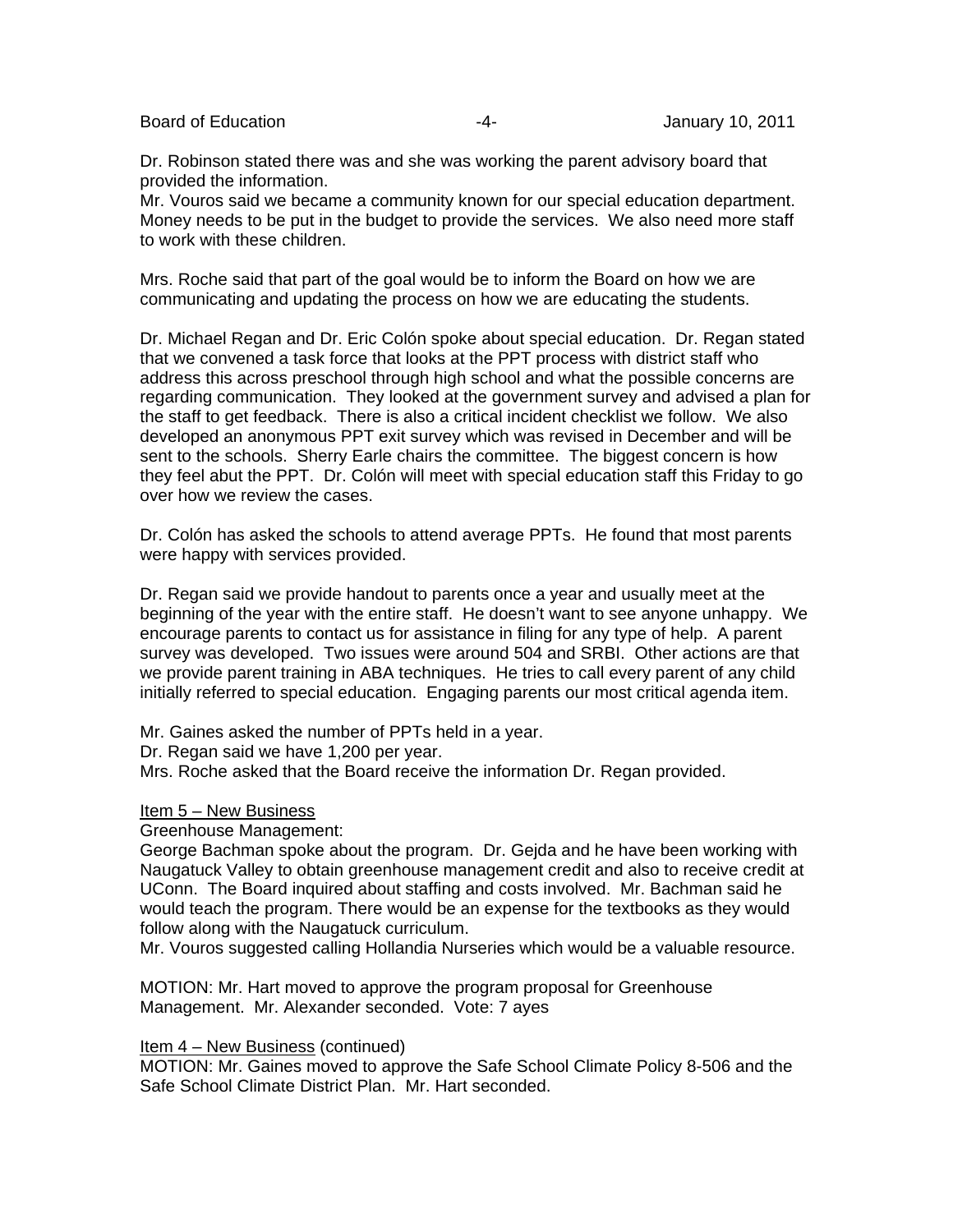Board of Education **Francisco Community** 10, 2011 **January 10, 2011** 

Dr. Robinson stated there was and she was working the parent advisory board that provided the information.

Mr. Vouros said we became a community known for our special education department. Money needs to be put in the budget to provide the services. We also need more staff to work with these children.

Mrs. Roche said that part of the goal would be to inform the Board on how we are communicating and updating the process on how we are educating the students.

Dr. Michael Regan and Dr. Eric Colón spoke about special education. Dr. Regan stated that we convened a task force that looks at the PPT process with district staff who address this across preschool through high school and what the possible concerns are regarding communication. They looked at the government survey and advised a plan for the staff to get feedback. There is also a critical incident checklist we follow. We also developed an anonymous PPT exit survey which was revised in December and will be sent to the schools. Sherry Earle chairs the committee. The biggest concern is how they feel abut the PPT. Dr. Colón will meet with special education staff this Friday to go over how we review the cases.

Dr. Colón has asked the schools to attend average PPTs. He found that most parents were happy with services provided.

Dr. Regan said we provide handout to parents once a year and usually meet at the beginning of the year with the entire staff. He doesn't want to see anyone unhappy. We encourage parents to contact us for assistance in filing for any type of help. A parent survey was developed. Two issues were around 504 and SRBI. Other actions are that we provide parent training in ABA techniques. He tries to call every parent of any child initially referred to special education. Engaging parents our most critical agenda item.

Mr. Gaines asked the number of PPTs held in a year.

Dr. Regan said we have 1,200 per year.

Mrs. Roche asked that the Board receive the information Dr. Regan provided.

Item 5 – New Business

Greenhouse Management:

George Bachman spoke about the program. Dr. Gejda and he have been working with Naugatuck Valley to obtain greenhouse management credit and also to receive credit at UConn. The Board inquired about staffing and costs involved. Mr. Bachman said he would teach the program. There would be an expense for the textbooks as they would follow along with the Naugatuck curriculum.

Mr. Vouros suggested calling Hollandia Nurseries which would be a valuable resource.

MOTION: Mr. Hart moved to approve the program proposal for Greenhouse Management. Mr. Alexander seconded. Vote: 7 ayes

Item 4 – New Business (continued)

MOTION: Mr. Gaines moved to approve the Safe School Climate Policy 8-506 and the Safe School Climate District Plan. Mr. Hart seconded.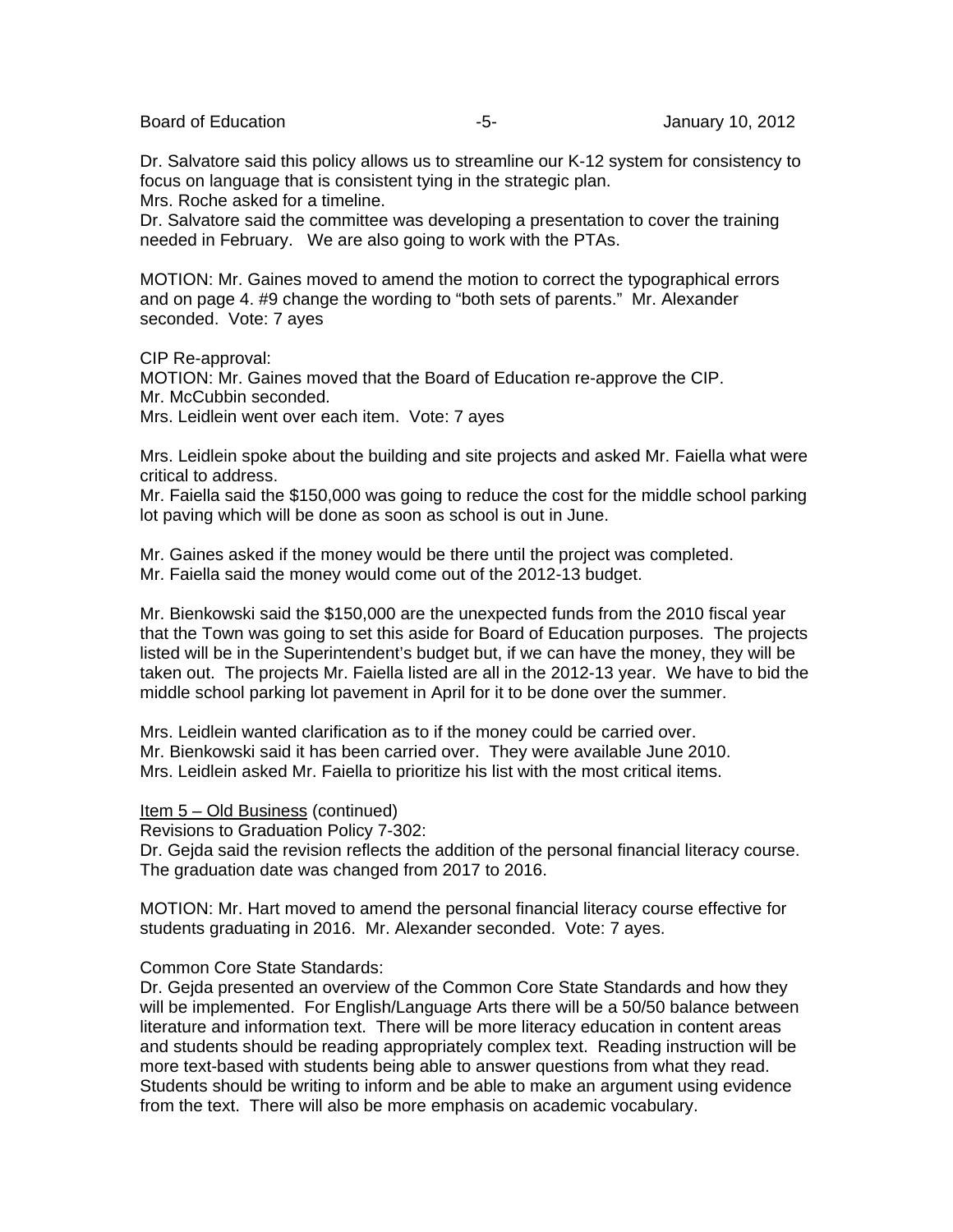Board of Education **-5-** Formulation of Education **-5-** Formulation of Education of Education **-5**-

Dr. Salvatore said this policy allows us to streamline our K-12 system for consistency to focus on language that is consistent tying in the strategic plan.

Mrs. Roche asked for a timeline.

Dr. Salvatore said the committee was developing a presentation to cover the training needed in February. We are also going to work with the PTAs.

MOTION: Mr. Gaines moved to amend the motion to correct the typographical errors and on page 4. #9 change the wording to "both sets of parents." Mr. Alexander seconded. Vote: 7 ayes

CIP Re-approval: MOTION: Mr. Gaines moved that the Board of Education re-approve the CIP. Mr. McCubbin seconded. Mrs. Leidlein went over each item. Vote: 7 ayes

Mrs. Leidlein spoke about the building and site projects and asked Mr. Faiella what were critical to address.

Mr. Faiella said the \$150,000 was going to reduce the cost for the middle school parking lot paving which will be done as soon as school is out in June.

Mr. Gaines asked if the money would be there until the project was completed. Mr. Faiella said the money would come out of the 2012-13 budget.

Mr. Bienkowski said the \$150,000 are the unexpected funds from the 2010 fiscal year that the Town was going to set this aside for Board of Education purposes. The projects listed will be in the Superintendent's budget but, if we can have the money, they will be taken out. The projects Mr. Faiella listed are all in the 2012-13 year. We have to bid the middle school parking lot pavement in April for it to be done over the summer.

Mrs. Leidlein wanted clarification as to if the money could be carried over. Mr. Bienkowski said it has been carried over. They were available June 2010. Mrs. Leidlein asked Mr. Faiella to prioritize his list with the most critical items.

Item 5 – Old Business (continued)

Revisions to Graduation Policy 7-302:

Dr. Gejda said the revision reflects the addition of the personal financial literacy course. The graduation date was changed from 2017 to 2016.

MOTION: Mr. Hart moved to amend the personal financial literacy course effective for students graduating in 2016. Mr. Alexander seconded. Vote: 7 ayes.

#### Common Core State Standards:

Dr. Gejda presented an overview of the Common Core State Standards and how they will be implemented. For English/Language Arts there will be a 50/50 balance between literature and information text. There will be more literacy education in content areas and students should be reading appropriately complex text. Reading instruction will be more text-based with students being able to answer questions from what they read. Students should be writing to inform and be able to make an argument using evidence from the text. There will also be more emphasis on academic vocabulary.